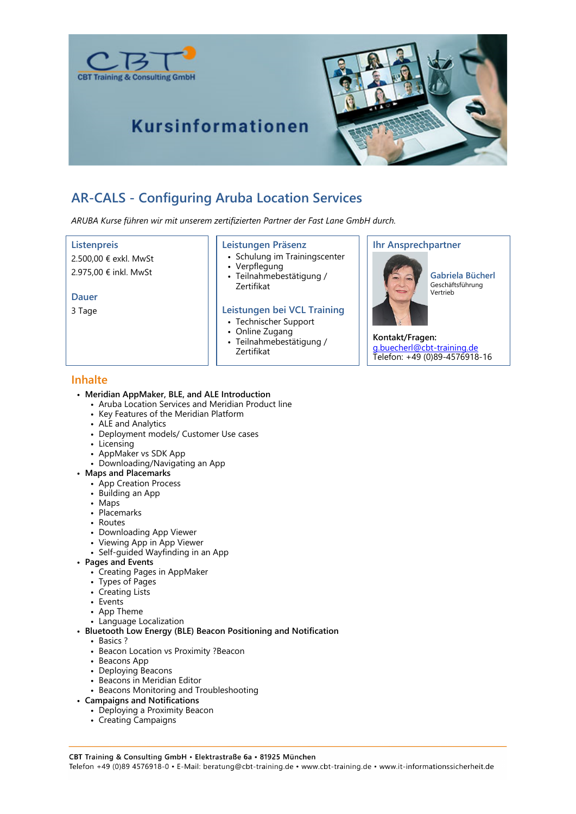

## **Kursinformationen**



### **AR-CALS - Configuring Aruba Location Services**

*ARUBA Kurse führen wir mit unserem zertifizierten Partner der Fast Lane GmbH durch.*

#### **Listenpreis**

2.500,00 € exkl. MwSt 2.975,00 € inkl. MwSt

**Dauer**

3 Tage

#### **Leistungen Präsenz**

- Schulung im Trainingscenter
- Verpflegung
- Teilnahmebestätigung / Zertifikat

#### **Leistungen bei VCL Training**

- Technischer Support
- Online Zugang
- Teilnahmebestätigung / Zertifikat
	-

#### **Ihr Ansprechpartner**



**Gabriela Bücherl** Geschäftsführung Vertrieb

**Kontakt/Fragen:** g.buecherl@cbt-training.de

Telefon: +49 (0)89-4576918-16

#### **Inhalte**

#### • **Meridian AppMaker, BLE, and ALE Introduction**

- Aruba Location Services and Meridian Product line
- Key Features of the Meridian Platform
- ALE and Analytics
- Deployment models/ Customer Use cases
- Licensing
- AppMaker vs SDK App
- Downloading/Navigating an App
- **Maps and Placemarks**
	- App Creation Process
	- Building an App
	- Maps
	- Placemarks
	- Routes
	- Downloading App Viewer
	- Viewing App in App Viewer
	- Self-guided Wayfinding in an App
- **Pages and Events**
	- Creating Pages in AppMaker
	- Types of Pages
	- Creating Lists
	- Events
	- App Theme
	- Language Localization
- **Bluetooth Low Energy (BLE) Beacon Positioning and Notification**
	- Basics ?
	- Beacon Location vs Proximity ?Beacon
	- Beacons App
	- Deploying Beacons
	- Beacons in Meridian Editor
	- Beacons Monitoring and Troubleshooting
- **Campaigns and Notifications**
	- Deploying a Proximity Beacon
	- Creating Campaigns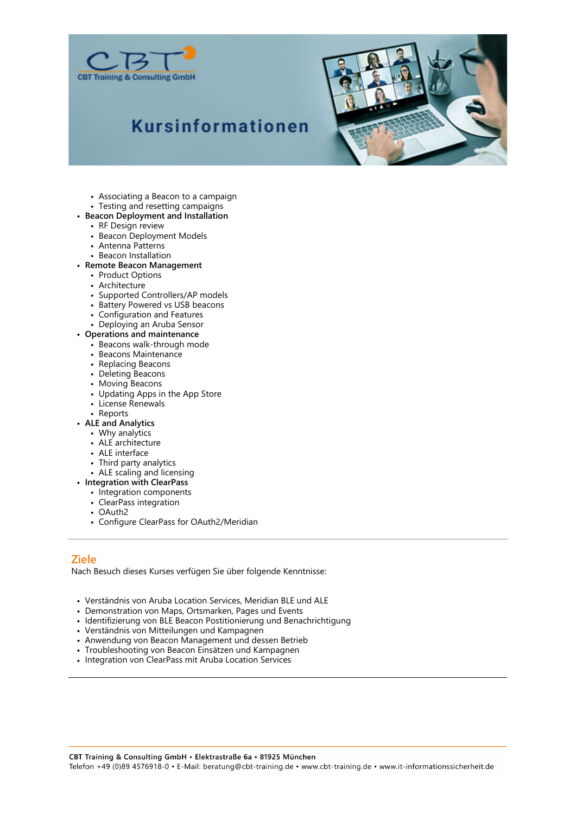

# **Kursinformationen**



- Associating a Beacon to a campaign
- Testing and resetting campaigns
- **Beacon Deployment and Installation**
	- RF Design review
	- Beacon Deployment Models
	- Antenna Patterns
	- Beacon Installation
- **Remote Beacon Management**
	- Product Options
	- Architecture
	- Supported Controllers/AP models
	- Battery Powered vs USB beacons
	- Configuration and Features
	- Deploying an Aruba Sensor
- **Operations and maintenance**
	- Beacons walk-through mode
	- Beacons Maintenance
	- Replacing Beacons
	- Deleting Beacons
	- Moving Beacons
	- Updating Apps in the App Store
	- License Renewals
	- Reports
- **ALE and Analytics**
	- Why analytics
	- ALE architecture
	- ALE interface
	- Third party analytics
	- ALE scaling and licensing
- **Integration with ClearPass**
	- Integration components
	- ClearPass integration
	- OAuth2
	- Configure ClearPass for OAuth2/Meridian

#### **Ziele**

Nach Besuch dieses Kurses verfügen Sie über folgende Kenntnisse:

- Verständnis von Aruba Location Services, Meridian BLE und ALE
- Demonstration von Maps, Ortsmarken, Pages und Events
- Identifizierung von BLE Beacon Postitionierung und Benachrichtigung
- Verständnis von Mitteilungen und Kampagnen
- Anwendung von Beacon Management und dessen Betrieb
- Troubleshooting von Beacon Einsätzen und Kampagnen
- Integration von ClearPass mit Aruba Location Services